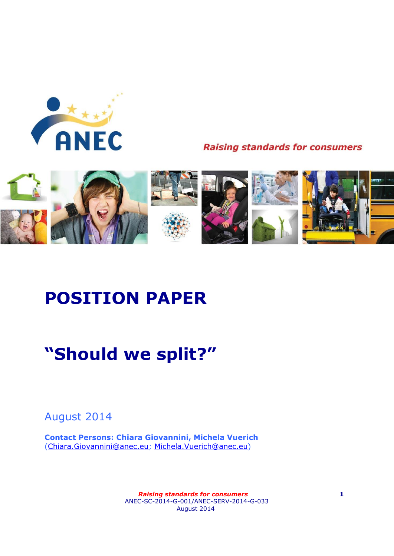

**Raising standards for consumers** 



# **POSITION PAPER**

# **"Should we split?"**

August 2014

**Contact Persons: Chiara Giovannini, Michela Vuerich** [\(Chiara.Giovannini@anec.eu;](mailto:Chiara.Giovannini@anec.eu) [Michela.Vuerich@anec.eu\)](mailto:Michela.Vuerich@anec.eu)

> *Raising standards for consumers* **1** ANEC-SC-2014-G-001/ANEC-SERV-2014-G-033 August 2014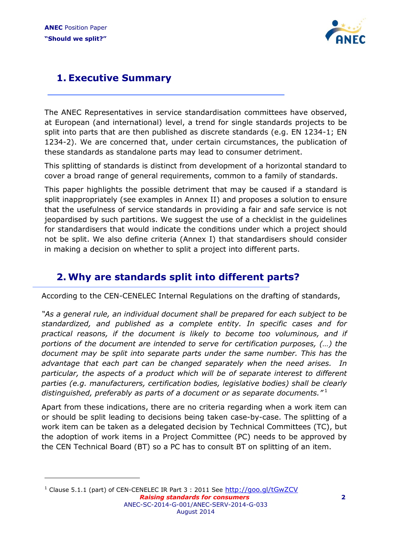l



# **1. Executive Summary**

The ANEC Representatives in service standardisation committees have observed, at European (and international) level, a trend for single standards projects to be split into parts that are then published as discrete standards (e.g. EN 1234-1; EN 1234-2). We are concerned that, under certain circumstances, the publication of these standards as standalone parts may lead to consumer detriment.

This splitting of standards is distinct from development of a horizontal standard to cover a broad range of general requirements, common to a family of standards.

This paper highlights the possible detriment that may be caused if a standard is split inappropriately (see examples in Annex II) and proposes a solution to ensure that the usefulness of service standards in providing a fair and safe service is not jeopardised by such partitions. We suggest the use of a checklist in the guidelines for standardisers that would indicate the conditions under which a project should not be split. We also define criteria (Annex I) that standardisers should consider in making a decision on whether to split a project into different parts.

## **2. Why are standards split into different parts?**

According to the CEN-CENELEC Internal Regulations on the drafting of standards,

*"As a general rule, an individual document shall be prepared for each subject to be standardized, and published as a complete entity. In specific cases and for practical reasons, if the document is likely to become too voluminous, and if portions of the document are intended to serve for certification purposes, (…) the document may be split into separate parts under the same number. This has the advantage that each part can be changed separately when the need arises. In particular, the aspects of a product which will be of separate interest to different parties (e.g. manufacturers, certification bodies, legislative bodies) shall be clearly distinguished, preferably as parts of a document or as separate documents."* <sup>1</sup>

Apart from these indications, there are no criteria regarding when a work item can or should be split leading to decisions being taken case-by-case. The splitting of a work item can be taken as a delegated decision by Technical Committees (TC), but the adoption of work items in a Project Committee (PC) needs to be approved by the CEN Technical Board (BT) so a PC has to consult BT on splitting of an item.

 *Raising standards for consumers* **2** ANEC-SC-2014-G-001/ANEC-SERV-2014-G-033 August 2014 <sup>1</sup> Clause 5.1.1 (part) of CEN-CENELEC IR Part 3 : 2011 See http://qoo.ql/tGwZCV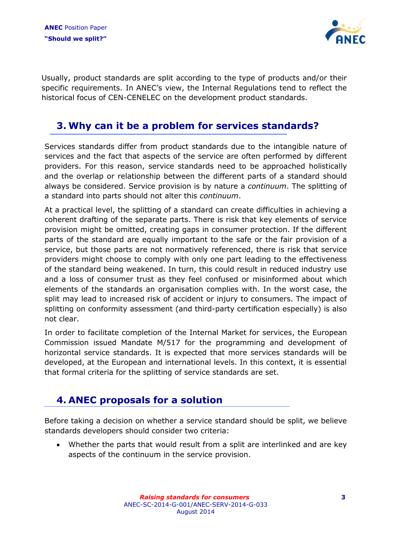

Usually, product standards are split according to the type of products and/or their specific requirements. In ANEC's view, the Internal Regulations tend to reflect the historical focus of CEN-CENELEC on the development product standards.

### **3. Why can it be a problem for services standards?**

Services standards differ from product standards due to the intangible nature of services and the fact that aspects of the service are often performed by different providers. For this reason, service standards need to be approached holistically and the overlap or relationship between the different parts of a standard should always be considered. Service provision is by nature a *continuum*. The splitting of a standard into parts should not alter this *continuum*.

At a practical level, the splitting of a standard can create difficulties in achieving a coherent drafting of the separate parts. There is risk that key elements of service provision might be omitted, creating gaps in consumer protection. If the different parts of the standard are equally important to the safe or the fair provision of a service, but those parts are not normatively referenced, there is risk that service providers might choose to comply with only one part leading to the effectiveness of the standard being weakened. In turn, this could result in reduced industry use and a loss of consumer trust as they feel confused or misinformed about which elements of the standards an organisation complies with. In the worst case, the split may lead to increased risk of accident or injury to consumers. The impact of splitting on conformity assessment (and third-party certification especially) is also not clear.

In order to facilitate completion of the Internal Market for services, the European Commission issued Mandate M/517 for the programming and development of horizontal service standards. It is expected that more services standards will be developed, at the European and international levels. In this context, it is essential that formal criteria for the splitting of service standards are set.

## **4. ANEC proposals for a solution**

Before taking a decision on whether a service standard should be split, we believe standards developers should consider two criteria:

 Whether the parts that would result from a split are interlinked and are key aspects of the continuum in the service provision.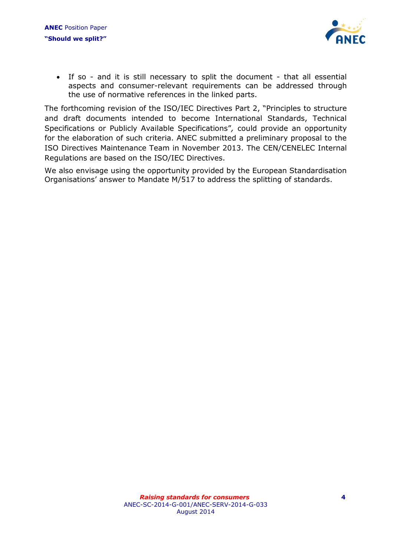

 If so - and it is still necessary to split the document - that all essential aspects and consumer-relevant requirements can be addressed through the use of normative references in the linked parts.

The forthcoming revision of the ISO/IEC Directives Part 2, "Principles to structure and draft documents intended to become International Standards, Technical Specifications or Publicly Available Specifications"*,* could provide an opportunity for the elaboration of such criteria. ANEC submitted a preliminary proposal to the ISO Directives Maintenance Team in November 2013. The CEN/CENELEC Internal Regulations are based on the ISO/IEC Directives.

We also envisage using the opportunity provided by the European Standardisation Organisations' answer to Mandate M/517 to address the splitting of standards.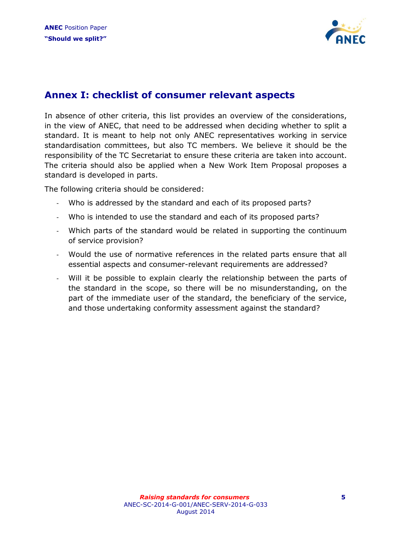

### **Annex I: checklist of consumer relevant aspects**

In absence of other criteria, this list provides an overview of the considerations, in the view of ANEC, that need to be addressed when deciding whether to split a standard. It is meant to help not only ANEC representatives working in service standardisation committees, but also TC members. We believe it should be the responsibility of the TC Secretariat to ensure these criteria are taken into account. The criteria should also be applied when a New Work Item Proposal proposes a standard is developed in parts.

The following criteria should be considered:

- Who is addressed by the standard and each of its proposed parts?
- Who is intended to use the standard and each of its proposed parts?
- Which parts of the standard would be related in supporting the continuum of service provision?
- Would the use of normative references in the related parts ensure that all essential aspects and consumer-relevant requirements are addressed?
- Will it be possible to explain clearly the relationship between the parts of the standard in the scope, so there will be no misunderstanding, on the part of the immediate user of the standard, the beneficiary of the service, and those undertaking conformity assessment against the standard?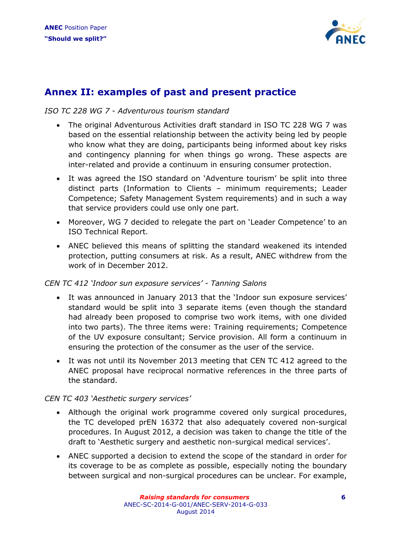

## **Annex II: examples of past and present practice**

#### *ISO TC 228 WG 7 - Adventurous tourism standard*

- The original Adventurous Activities draft standard in ISO TC 228 WG 7 was based on the essential relationship between the activity being led by people who know what they are doing, participants being informed about key risks and contingency planning for when things go wrong. These aspects are inter-related and provide a continuum in ensuring consumer protection.
- It was agreed the ISO standard on 'Adventure tourism' be split into three distinct parts (Information to Clients – minimum requirements; Leader Competence; Safety Management System requirements) and in such a way that service providers could use only one part.
- Moreover, WG 7 decided to relegate the part on 'Leader Competence' to an ISO Technical Report.
- ANEC believed this means of splitting the standard weakened its intended protection, putting consumers at risk. As a result, ANEC withdrew from the work of in December 2012.

#### *CEN TC 412 'Indoor sun exposure services' - Tanning Salons*

- It was announced in January 2013 that the 'Indoor sun exposure services' standard would be split into 3 separate items (even though the standard had already been proposed to comprise two work items, with one divided into two parts). The three items were: Training requirements; Competence of the UV exposure consultant; Service provision. All form a continuum in ensuring the protection of the consumer as the user of the service.
- It was not until its November 2013 meeting that CEN TC 412 agreed to the ANEC proposal have reciprocal normative references in the three parts of the standard.

#### *CEN TC 403 'Aesthetic surgery services'*

- Although the original work programme covered only surgical procedures, the TC developed prEN 16372 that also adequately covered non-surgical procedures. In August 2012, a decision was taken to change the title of the draft to 'Aesthetic surgery and aesthetic non-surgical medical services'.
- ANEC supported a decision to extend the scope of the standard in order for its coverage to be as complete as possible, especially noting the boundary between surgical and non-surgical procedures can be unclear. For example,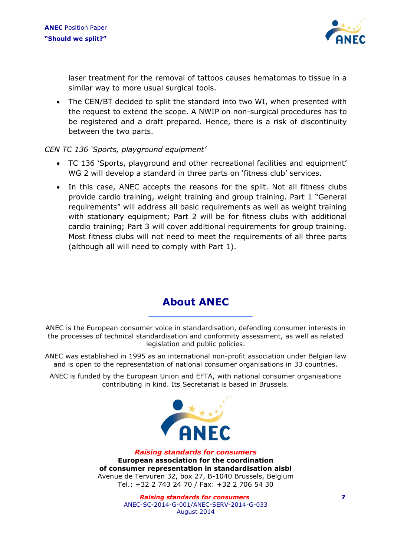

laser treatment for the removal of tattoos causes hematomas to tissue in a similar way to more usual surgical tools.

• The CEN/BT decided to split the standard into two WI, when presented with the request to extend the scope. A NWIP on non-surgical procedures has to be registered and a draft prepared. Hence, there is a risk of discontinuity between the two parts.

#### *CEN TC 136 'Sports, playground equipment'*

- TC 136 'Sports, playground and other recreational facilities and equipment' WG 2 will develop a standard in three parts on 'fitness club' services.
- In this case, ANEC accepts the reasons for the split. Not all fitness clubs provide cardio training, weight training and group training. Part 1 "General requirements" will address all basic requirements as well as weight training with stationary equipment; Part 2 will be for fitness clubs with additional cardio training; Part 3 will cover additional requirements for group training. Most fitness clubs will not need to meet the requirements of all three parts (although all will need to comply with Part 1).

## **About ANEC**

ANEC is the European consumer voice in standardisation, defending consumer interests in the processes of technical standardisation and conformity assessment, as well as related legislation and public policies.

ANEC was established in 1995 as an international non-profit association under Belgian law and is open to the representation of national consumer organisations in 33 countries.

ANEC is funded by the European Union and EFTA, with national consumer organisations contributing in kind. Its Secretariat is based in Brussels.



*Raising standards for consumers* **European association for the coordination of consumer representation in standardisation aisbl** Avenue de Tervuren 32, box 27, B-1040 Brussels, Belgium Tel.: +32 2 743 24 70 / Fax: +32 2 706 54 30

> *Raising standards for consumers* **7** ANEC-SC-2014-G-001/ANEC-SERV-2014-G-033 August 2014